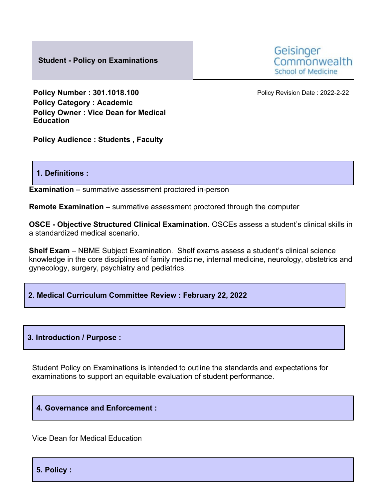**Student - Policy on Examinations**



**Policy Number : 301.1018.100** Policy Revision Date : 2022-2-22 **Policy Category : Academic Policy Owner : Vice Dean for Medical Education**

**Policy Audience : Students , Faculty**

#### **1. Definitions :**

**Examination –** summative assessment proctored in-person

**Remote Examination –** summative assessment proctored through the computer

**OSCE - Objective Structured Clinical Examination**. OSCEs assess a student's clinical skills in a standardized medical scenario.

**Shelf Exam** – NBME Subject Examination. Shelf exams assess a student's clinical science knowledge in the core disciplines of family medicine, internal medicine, neurology, obstetrics and gynecology, surgery, psychiatry and pediatrics.

## **2. Medical Curriculum Committee Review : February 22, 2022**

#### **3. Introduction / Purpose :**

Student Policy on Examinations is intended to outline the standards and expectations for examinations to support an equitable evaluation of student performance.

## **4. Governance and Enforcement :**

Vice Dean for Medical Education

**5. Policy :**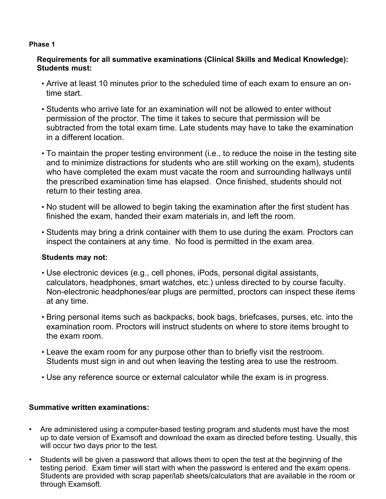#### **Phase 1**

# **Requirements for all summative examinations (Clinical Skills and Medical Knowledge): Students must:**

- Arrive at least 10 minutes prior to the scheduled time of each exam to ensure an ontime start.
- Students who arrive late for an examination will not be allowed to enter without permission of the proctor. The time it takes to secure that permission will be subtracted from the total exam time. Late students may have to take the examination in a different location.
- To maintain the proper testing environment (i.e., to reduce the noise in the testing site and to minimize distractions for students who are still working on the exam), students who have completed the exam must vacate the room and surrounding hallways until the prescribed examination time has elapsed. Once finished, students should not return to their testing area.
- No student will be allowed to begin taking the examination after the first student has finished the exam, handed their exam materials in, and left the room.
- Students may bring a drink container with them to use during the exam. Proctors can inspect the containers at any time. No food is permitted in the exam area.

## **Students may not:**

- Use electronic devices (e.g., cell phones, iPods, personal digital assistants, calculators, headphones, smart watches, etc.) unless directed to by course faculty. Non-electronic headphones/ear plugs are permitted, proctors can inspect these items at any time.
- Bring personal items such as backpacks, book bags, briefcases, purses, etc. into the examination room. Proctors will instruct students on where to store items brought to the exam room.
- Leave the exam room for any purpose other than to briefly visit the restroom. Students must sign in and out when leaving the testing area to use the restroom.
- Use any reference source or external calculator while the exam is in progress.

# **Summative written examinations:**

- Are administered using a computer-based testing program and students must have the most up to date version of Examsoft and download the exam as directed before testing. Usually, this will occur two days prior to the test.
- Students will be given a password that allows them to open the test at the beginning of the testing period. Exam timer will start with when the password is entered and the exam opens. Students are provided with scrap paper/lab sheets/calculators that are available in the room or through Examsoft.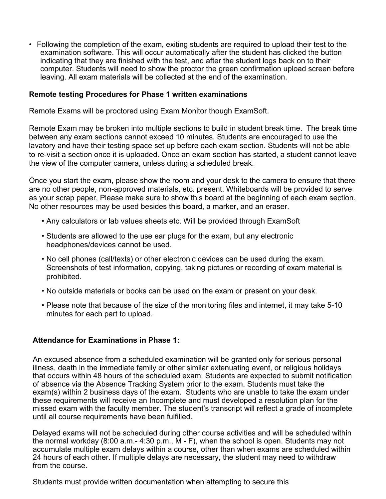• Following the completion of the exam, exiting students are required to upload their test to the examination software. This will occur automatically after the student has clicked the button indicating that they are finished with the test, and after the student logs back on to their computer. Students will need to show the proctor the green confirmation upload screen before leaving. All exam materials will be collected at the end of the examination.

#### **Remote testing Procedures for Phase 1 written examinations**

Remote Exams will be proctored using Exam Monitor though ExamSoft.

Remote Exam may be broken into multiple sections to build in student break time. The break time between any exam sections cannot exceed 10 minutes. Students are encouraged to use the lavatory and have their testing space set up before each exam section. Students will not be able to re-visit a section once it is uploaded. Once an exam section has started, a student cannot leave the view of the computer camera, unless during a scheduled break.

Once you start the exam, please show the room and your desk to the camera to ensure that there are no other people, non-approved materials, etc. present. Whiteboards will be provided to serve as your scrap paper, Please make sure to show this board at the beginning of each exam section. No other resources may be used besides this board, a marker, and an eraser.

- Any calculators or lab values sheets etc. Will be provided through ExamSoft
- Students are allowed to the use ear plugs for the exam, but any electronic headphones/devices cannot be used.
- No cell phones (call/texts) or other electronic devices can be used during the exam. Screenshots of test information, copying, taking pictures or recording of exam material is prohibited.
- No outside materials or books can be used on the exam or present on your desk.
- Please note that because of the size of the monitoring files and internet, it may take 5-10 minutes for each part to upload.

## **Attendance for Examinations in Phase 1:**

An excused absence from a scheduled examination will be granted only for serious personal illness, death in the immediate family or other similar extenuating event, or religious holidays that occurs within 48 hours of the scheduled exam. Students are expected to submit notification of absence via the Absence Tracking System prior to the exam. Students must take the exam(s) within 2 business days of the exam. Students who are unable to take the exam under these requirements will receive an Incomplete and must developed a resolution plan for the missed exam with the faculty member. The student's transcript will reflect a grade of incomplete until all course requirements have been fulfilled.

Delayed exams will not be scheduled during other course activities and will be scheduled within the normal workday (8:00 a.m.- 4:30 p.m., M - F), when the school is open. Students may not accumulate multiple exam delays within a course, other than when exams are scheduled within 24 hours of each other. If multiple delays are necessary, the student may need to withdraw from the course.

Students must provide written documentation when attempting to secure this